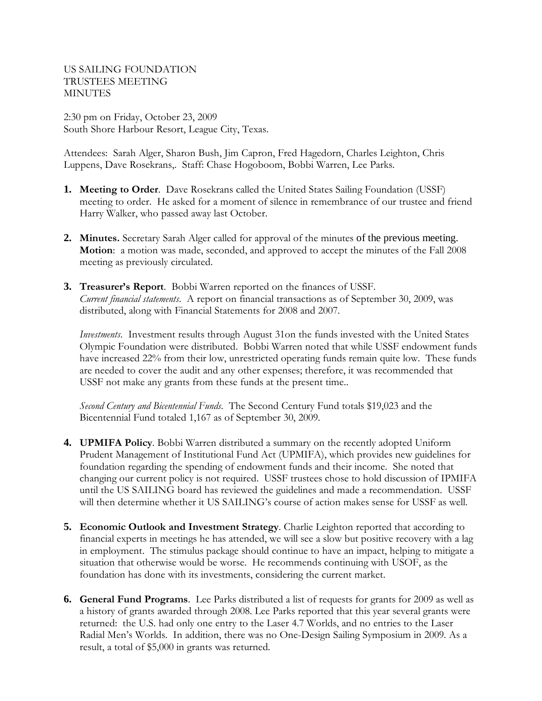US SAILING FOUNDATION TRUSTEES MEETING MINUTES

2:30 pm on Friday, October 23, 2009 South Shore Harbour Resort, League City, Texas.

Attendees: Sarah Alger, Sharon Bush, Jim Capron, Fred Hagedorn, Charles Leighton, Chris Luppens, Dave Rosekrans,. Staff: Chase Hogoboom, Bobbi Warren, Lee Parks.

- **1. Meeting to Order**. Dave Rosekrans called the United States Sailing Foundation (USSF) meeting to order. He asked for a moment of silence in remembrance of our trustee and friend Harry Walker, who passed away last October.
- **2. Minutes.** Secretary Sarah Alger called for approval of the minutes of the previous meeting. **Motion**: a motion was made, seconded, and approved to accept the minutes of the Fall 2008 meeting as previously circulated.
- **3. Treasurer's Report**. Bobbi Warren reported on the finances of USSF. *Current financial statements*. A report on financial transactions as of September 30, 2009, was distributed, along with Financial Statements for 2008 and 2007.

*Investments*. Investment results through August 31on the funds invested with the United States Olympic Foundation were distributed. Bobbi Warren noted that while USSF endowment funds have increased 22% from their low, unrestricted operating funds remain quite low. These funds are needed to cover the audit and any other expenses; therefore, it was recommended that USSF not make any grants from these funds at the present time..

*Second Century and Bicentennial Funds*. The Second Century Fund totals \$19,023 and the Bicentennial Fund totaled 1,167 as of September 30, 2009.

- **4. UPMIFA Policy**. Bobbi Warren distributed a summary on the recently adopted Uniform Prudent Management of Institutional Fund Act (UPMIFA), which provides new guidelines for foundation regarding the spending of endowment funds and their income. She noted that changing our current policy is not required. USSF trustees chose to hold discussion of IPMIFA until the US SAILING board has reviewed the guidelines and made a recommendation. USSF will then determine whether it US SAILING's course of action makes sense for USSF as well.
- **5. Economic Outlook and Investment Strategy**. Charlie Leighton reported that according to financial experts in meetings he has attended, we will see a slow but positive recovery with a lag in employment. The stimulus package should continue to have an impact, helping to mitigate a situation that otherwise would be worse. He recommends continuing with USOF, as the foundation has done with its investments, considering the current market.
- **6. General Fund Programs**. Lee Parks distributed a list of requests for grants for 2009 as well as a history of grants awarded through 2008. Lee Parks reported that this year several grants were returned: the U.S. had only one entry to the Laser 4.7 Worlds, and no entries to the Laser Radial Men's Worlds. In addition, there was no One-Design Sailing Symposium in 2009. As a result, a total of \$5,000 in grants was returned.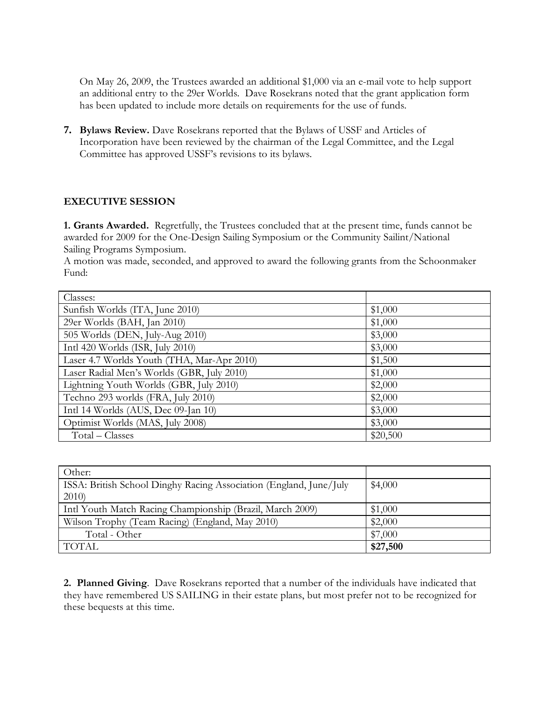On May 26, 2009, the Trustees awarded an additional \$1,000 via an e-mail vote to help support an additional entry to the 29er Worlds. Dave Rosekrans noted that the grant application form has been updated to include more details on requirements for the use of funds.

**7. Bylaws Review.** Dave Rosekrans reported that the Bylaws of USSF and Articles of Incorporation have been reviewed by the chairman of the Legal Committee, and the Legal Committee has approved USSF's revisions to its bylaws.

## **EXECUTIVE SESSION**

**1. Grants Awarded.** Regretfully, the Trustees concluded that at the present time, funds cannot be awarded for 2009 for the One-Design Sailing Symposium or the Community Sailint/National Sailing Programs Symposium.

A motion was made, seconded, and approved to award the following grants from the Schoonmaker Fund:

| Classes:                                   |          |
|--------------------------------------------|----------|
| Sunfish Worlds (ITA, June 2010)            | \$1,000  |
| 29er Worlds (BAH, Jan 2010)                | \$1,000  |
| 505 Worlds (DEN, July-Aug 2010)            | \$3,000  |
| Intl 420 Worlds (ISR, July 2010)           | \$3,000  |
| Laser 4.7 Worlds Youth (THA, Mar-Apr 2010) | \$1,500  |
| Laser Radial Men's Worlds (GBR, July 2010) | \$1,000  |
| Lightning Youth Worlds (GBR, July 2010)    | \$2,000  |
| Techno 293 worlds (FRA, July 2010)         | \$2,000  |
| Intl 14 Worlds (AUS, Dec 09-Jan 10)        | \$3,000  |
| Optimist Worlds (MAS, July 2008)           | \$3,000  |
| Total – Classes                            | \$20,500 |

| Other:                                                             |          |
|--------------------------------------------------------------------|----------|
| ISSA: British School Dinghy Racing Association (England, June/July | \$4,000  |
| 2010                                                               |          |
| Intl Youth Match Racing Championship (Brazil, March 2009)          | \$1,000  |
| Wilson Trophy (Team Racing) (England, May 2010)                    | \$2,000  |
| Total - Other                                                      | \$7,000  |
| TOTAL                                                              | \$27,500 |

**2. Planned Giving**. Dave Rosekrans reported that a number of the individuals have indicated that they have remembered US SAILING in their estate plans, but most prefer not to be recognized for these bequests at this time.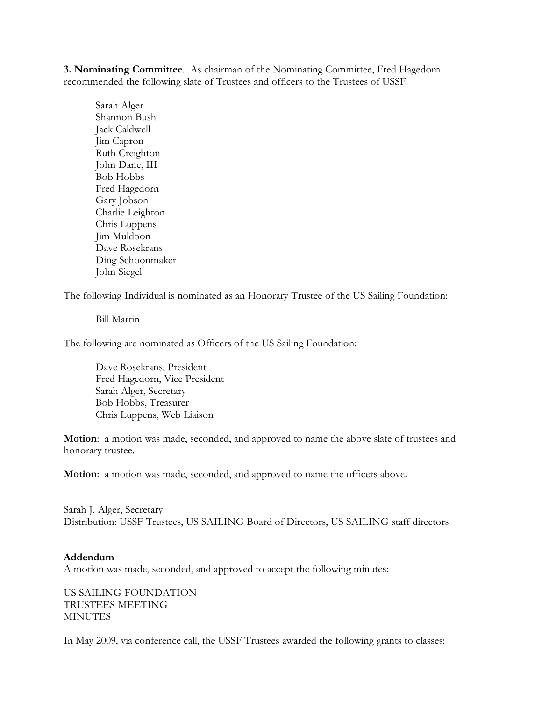**3. Nominating Committee**. As chairman of the Nominating Committee, Fred Hagedorn recommended the following slate of Trustees and officers to the Trustees of USSF:

Sarah Alger Shannon Bush Jack Caldwell Jim Capron Ruth Creighton John Dane, III Bob Hobbs Fred Hagedorn Gary Jobson Charlie Leighton Chris Luppens Jim Muldoon Dave Rosekrans Ding Schoonmaker John Siegel

The following Individual is nominated as an Honorary Trustee of the US Sailing Foundation:

Bill Martin

The following are nominated as Officers of the US Sailing Foundation:

Dave Rosekrans, President Fred Hagedorn, Vice President Sarah Alger, Secretary Bob Hobbs, Treasurer Chris Luppens, Web Liaison

**Motion**: a motion was made, seconded, and approved to name the above slate of trustees and honorary trustee.

**Motion**: a motion was made, seconded, and approved to name the officers above.

Sarah J. Alger, Secretary Distribution: USSF Trustees, US SAILING Board of Directors, US SAILING staff directors

## **Addendum**

A motion was made, seconded, and approved to accept the following minutes:

US SAILING FOUNDATION TRUSTEES MEETING MINUTES

In May 2009, via conference call, the USSF Trustees awarded the following grants to classes: